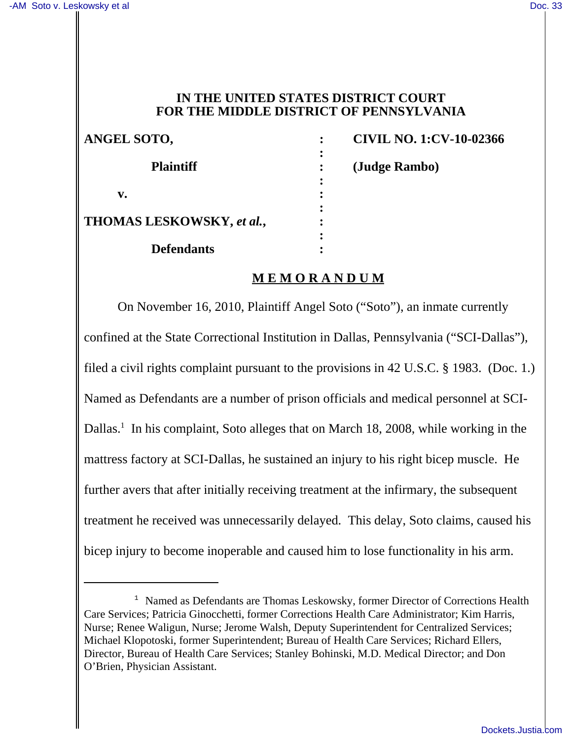#### **IN THE UNITED STATES DISTRICT COURT FOR THE MIDDLE DISTRICT OF PENNSYLVANIA**

| <b>ANGEL SOTO,</b>               | <b>CIVIL NO. 1:CV-10-02366</b> |
|----------------------------------|--------------------------------|
| <b>Plaintiff</b>                 | (Judge Rambo)                  |
|                                  |                                |
| v.                               |                                |
|                                  |                                |
| <b>THOMAS LESKOWSKY, et al.,</b> |                                |
|                                  |                                |
| <b>Defendants</b>                |                                |

### **M E M O R A N D U M**

On November 16, 2010, Plaintiff Angel Soto ("Soto"), an inmate currently confined at the State Correctional Institution in Dallas, Pennsylvania ("SCI-Dallas"), filed a civil rights complaint pursuant to the provisions in 42 U.S.C. § 1983. (Doc. 1.) Named as Defendants are a number of prison officials and medical personnel at SCI-Dallas.<sup>1</sup> In his complaint, Soto alleges that on March 18, 2008, while working in the mattress factory at SCI-Dallas, he sustained an injury to his right bicep muscle. He further avers that after initially receiving treatment at the infirmary, the subsequent treatment he received was unnecessarily delayed. This delay, Soto claims, caused his bicep injury to become inoperable and caused him to lose functionality in his arm.

<sup>&</sup>lt;sup>1</sup> Named as Defendants are Thomas Leskowsky, former Director of Corrections Health Care Services; Patricia Ginocchetti, former Corrections Health Care Administrator; Kim Harris, Nurse; Renee Waligun, Nurse; Jerome Walsh, Deputy Superintendent for Centralized Services; Michael Klopotoski, former Superintendent; Bureau of Health Care Services; Richard Ellers, Director, Bureau of Health Care Services; Stanley Bohinski, M.D. Medical Director; and Don O'Brien, Physician Assistant.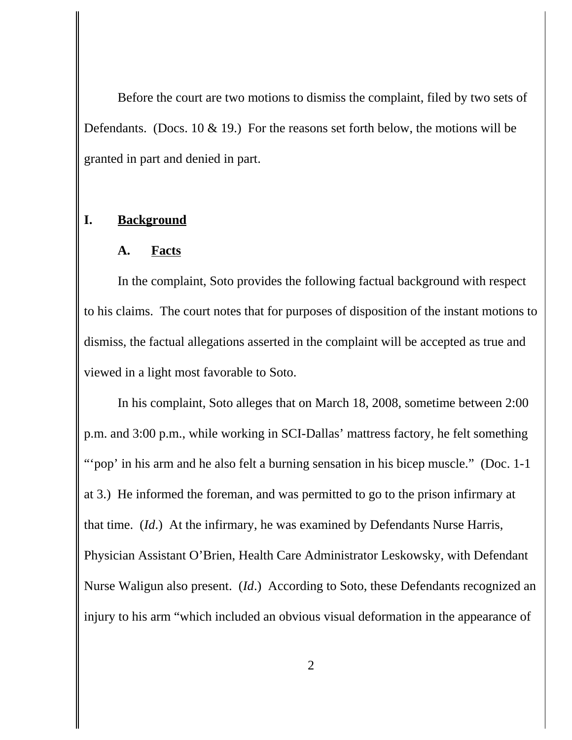Before the court are two motions to dismiss the complaint, filed by two sets of Defendants. (Docs. 10  $\&$  19.) For the reasons set forth below, the motions will be granted in part and denied in part.

## **I. Background**

#### **A. Facts**

In the complaint, Soto provides the following factual background with respect to his claims. The court notes that for purposes of disposition of the instant motions to dismiss, the factual allegations asserted in the complaint will be accepted as true and viewed in a light most favorable to Soto.

In his complaint, Soto alleges that on March 18, 2008, sometime between 2:00 p.m. and 3:00 p.m., while working in SCI-Dallas' mattress factory, he felt something "pop' in his arm and he also felt a burning sensation in his bicep muscle." (Doc. 1-1) at 3.) He informed the foreman, and was permitted to go to the prison infirmary at that time. (*Id*.) At the infirmary, he was examined by Defendants Nurse Harris, Physician Assistant O'Brien, Health Care Administrator Leskowsky, with Defendant Nurse Waligun also present. (*Id*.) According to Soto, these Defendants recognized an injury to his arm "which included an obvious visual deformation in the appearance of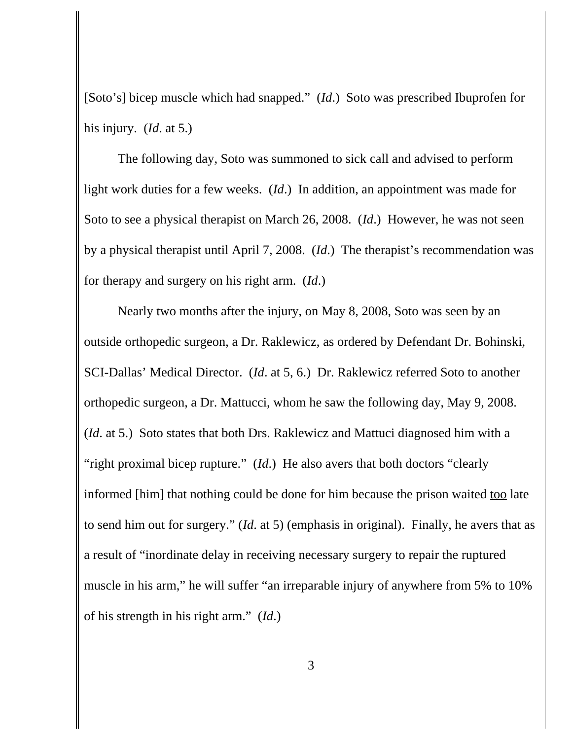[Soto's] bicep muscle which had snapped." (*Id*.) Soto was prescribed Ibuprofen for his injury. (*Id*. at 5.)

The following day, Soto was summoned to sick call and advised to perform light work duties for a few weeks. (*Id*.) In addition, an appointment was made for Soto to see a physical therapist on March 26, 2008. (*Id*.) However, he was not seen by a physical therapist until April 7, 2008. (*Id*.) The therapist's recommendation was for therapy and surgery on his right arm. (*Id*.)

Nearly two months after the injury, on May 8, 2008, Soto was seen by an outside orthopedic surgeon, a Dr. Raklewicz, as ordered by Defendant Dr. Bohinski, SCI-Dallas' Medical Director. (*Id*. at 5, 6.) Dr. Raklewicz referred Soto to another orthopedic surgeon, a Dr. Mattucci, whom he saw the following day, May 9, 2008. (*Id*. at 5.) Soto states that both Drs. Raklewicz and Mattuci diagnosed him with a "right proximal bicep rupture." (*Id*.) He also avers that both doctors "clearly informed [him] that nothing could be done for him because the prison waited too late to send him out for surgery." (*Id*. at 5) (emphasis in original). Finally, he avers that as a result of "inordinate delay in receiving necessary surgery to repair the ruptured muscle in his arm," he will suffer "an irreparable injury of anywhere from 5% to 10% of his strength in his right arm." (*Id*.)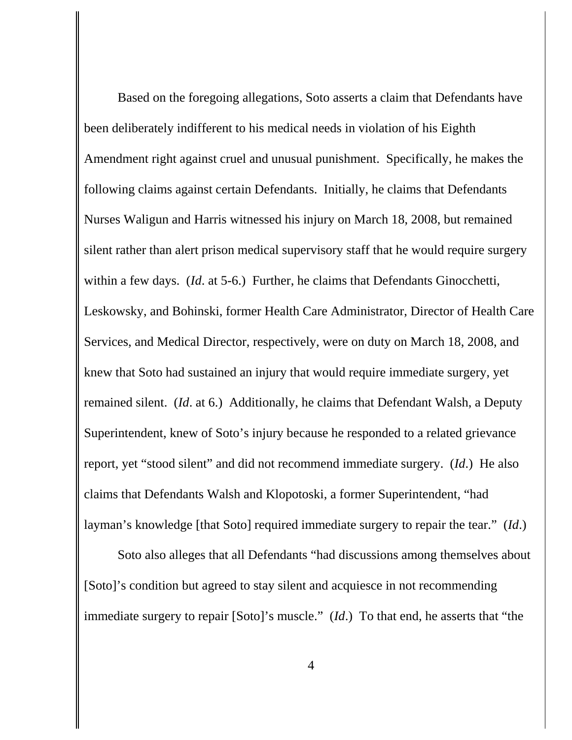Based on the foregoing allegations, Soto asserts a claim that Defendants have been deliberately indifferent to his medical needs in violation of his Eighth Amendment right against cruel and unusual punishment. Specifically, he makes the following claims against certain Defendants. Initially, he claims that Defendants Nurses Waligun and Harris witnessed his injury on March 18, 2008, but remained silent rather than alert prison medical supervisory staff that he would require surgery within a few days. (*Id*. at 5-6.) Further, he claims that Defendants Ginocchetti, Leskowsky, and Bohinski, former Health Care Administrator, Director of Health Care Services, and Medical Director, respectively, were on duty on March 18, 2008, and knew that Soto had sustained an injury that would require immediate surgery, yet remained silent. (*Id*. at 6.) Additionally, he claims that Defendant Walsh, a Deputy Superintendent, knew of Soto's injury because he responded to a related grievance report, yet "stood silent" and did not recommend immediate surgery. (*Id*.) He also claims that Defendants Walsh and Klopotoski, a former Superintendent, "had layman's knowledge [that Soto] required immediate surgery to repair the tear." (*Id*.)

Soto also alleges that all Defendants "had discussions among themselves about [Soto]'s condition but agreed to stay silent and acquiesce in not recommending immediate surgery to repair [Soto]'s muscle." (*Id*.) To that end, he asserts that "the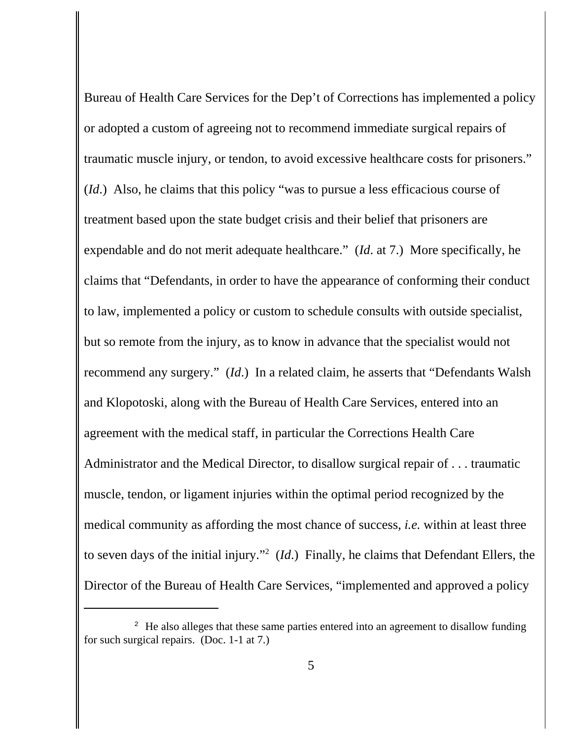Bureau of Health Care Services for the Dep't of Corrections has implemented a policy or adopted a custom of agreeing not to recommend immediate surgical repairs of traumatic muscle injury, or tendon, to avoid excessive healthcare costs for prisoners." (*Id*.) Also, he claims that this policy "was to pursue a less efficacious course of treatment based upon the state budget crisis and their belief that prisoners are expendable and do not merit adequate healthcare." (*Id*. at 7.) More specifically, he claims that "Defendants, in order to have the appearance of conforming their conduct to law, implemented a policy or custom to schedule consults with outside specialist, but so remote from the injury, as to know in advance that the specialist would not recommend any surgery." (*Id*.) In a related claim, he asserts that "Defendants Walsh and Klopotoski, along with the Bureau of Health Care Services, entered into an agreement with the medical staff, in particular the Corrections Health Care Administrator and the Medical Director, to disallow surgical repair of . . . traumatic muscle, tendon, or ligament injuries within the optimal period recognized by the medical community as affording the most chance of success, *i.e.* within at least three to seven days of the initial injury."2 (*Id*.) Finally, he claims that Defendant Ellers, the Director of the Bureau of Health Care Services, "implemented and approved a policy

<sup>&</sup>lt;sup>2</sup> He also alleges that these same parties entered into an agreement to disallow funding for such surgical repairs. (Doc. 1-1 at 7.)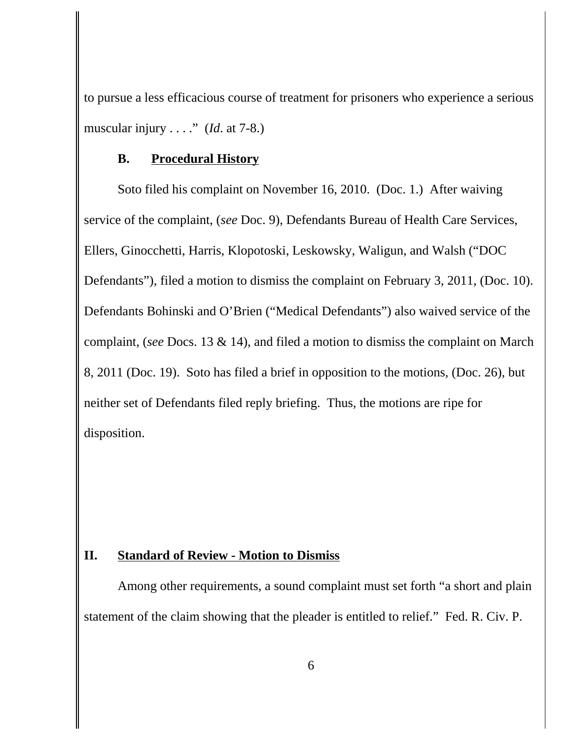to pursue a less efficacious course of treatment for prisoners who experience a serious muscular injury . . . ." (*Id*. at 7-8.)

#### **B. Procedural History**

Soto filed his complaint on November 16, 2010. (Doc. 1.) After waiving service of the complaint, (*see* Doc. 9), Defendants Bureau of Health Care Services, Ellers, Ginocchetti, Harris, Klopotoski, Leskowsky, Waligun, and Walsh ("DOC Defendants"), filed a motion to dismiss the complaint on February 3, 2011, (Doc. 10). Defendants Bohinski and O'Brien ("Medical Defendants") also waived service of the complaint, (*see* Docs. 13 & 14), and filed a motion to dismiss the complaint on March 8, 2011 (Doc. 19). Soto has filed a brief in opposition to the motions, (Doc. 26), but neither set of Defendants filed reply briefing. Thus, the motions are ripe for disposition.

### **II. Standard of Review - Motion to Dismiss**

Among other requirements, a sound complaint must set forth "a short and plain statement of the claim showing that the pleader is entitled to relief." Fed. R. Civ. P.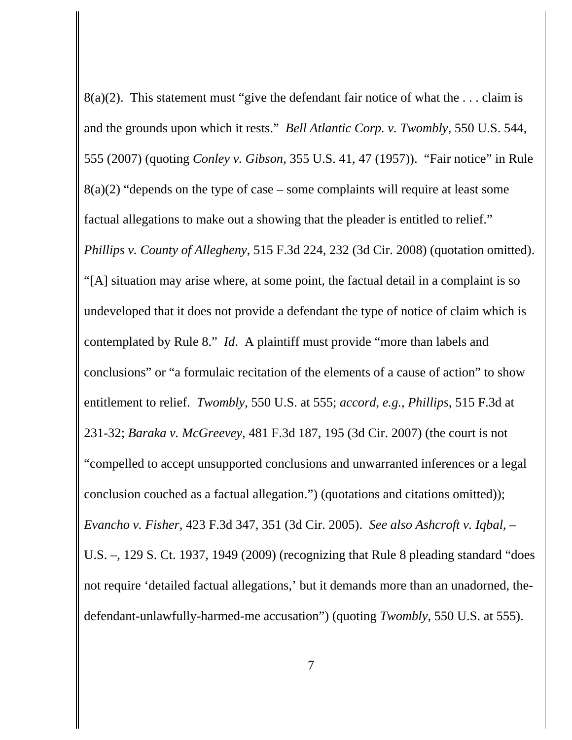8(a)(2). This statement must "give the defendant fair notice of what the  $\dots$  claim is and the grounds upon which it rests." *Bell Atlantic Corp. v. Twombly*, 550 U.S. 544, 555 (2007) (quoting *Conley v. Gibson*, 355 U.S. 41, 47 (1957)). "Fair notice" in Rule  $8(a)(2)$  "depends on the type of case – some complaints will require at least some factual allegations to make out a showing that the pleader is entitled to relief." *Phillips v. County of Allegheny*, 515 F.3d 224, 232 (3d Cir. 2008) (quotation omitted). "[A] situation may arise where, at some point, the factual detail in a complaint is so undeveloped that it does not provide a defendant the type of notice of claim which is contemplated by Rule 8." *Id*. A plaintiff must provide "more than labels and conclusions" or "a formulaic recitation of the elements of a cause of action" to show entitlement to relief. *Twombly*, 550 U.S. at 555; *accord*, *e.g.*, *Phillips*, 515 F.3d at 231-32; *Baraka v. McGreevey*, 481 F.3d 187, 195 (3d Cir. 2007) (the court is not "compelled to accept unsupported conclusions and unwarranted inferences or a legal conclusion couched as a factual allegation.") (quotations and citations omitted)); *Evancho v. Fisher*, 423 F.3d 347, 351 (3d Cir. 2005). *See also Ashcroft v. Iqbal*, – U.S. –, 129 S. Ct. 1937, 1949 (2009) (recognizing that Rule 8 pleading standard "does not require 'detailed factual allegations,' but it demands more than an unadorned, thedefendant-unlawfully-harmed-me accusation") (quoting *Twombly*, 550 U.S. at 555).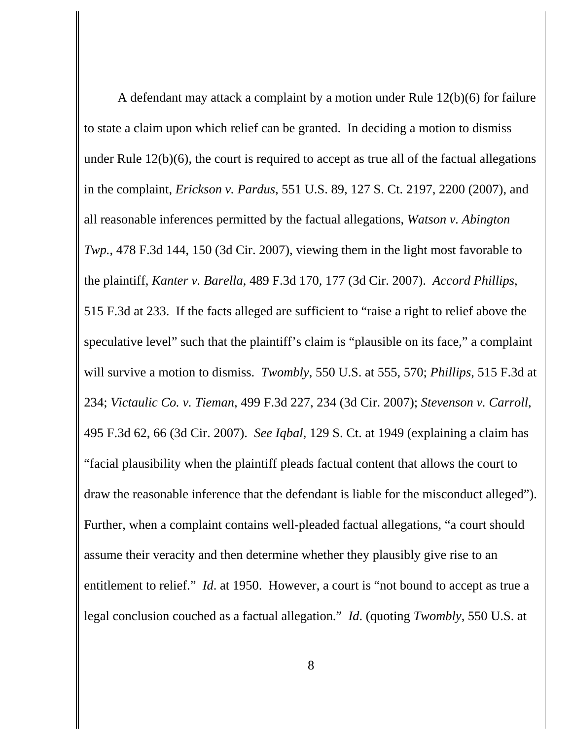A defendant may attack a complaint by a motion under Rule 12(b)(6) for failure to state a claim upon which relief can be granted. In deciding a motion to dismiss under Rule 12(b)(6), the court is required to accept as true all of the factual allegations in the complaint, *Erickson v. Pardus*, 551 U.S. 89, 127 S. Ct. 2197, 2200 (2007), and all reasonable inferences permitted by the factual allegations, *Watson v. Abington Twp.*, 478 F.3d 144, 150 (3d Cir. 2007), viewing them in the light most favorable to the plaintiff, *Kanter v. Barella*, 489 F.3d 170, 177 (3d Cir. 2007). *Accord Phillips*, 515 F.3d at 233. If the facts alleged are sufficient to "raise a right to relief above the speculative level" such that the plaintiff's claim is "plausible on its face," a complaint will survive a motion to dismiss. *Twombly*, 550 U.S. at 555, 570; *Phillips*, 515 F.3d at 234; *Victaulic Co. v. Tieman*, 499 F.3d 227, 234 (3d Cir. 2007); *Stevenson v. Carroll*, 495 F.3d 62, 66 (3d Cir. 2007). *See Iqbal*, 129 S. Ct. at 1949 (explaining a claim has "facial plausibility when the plaintiff pleads factual content that allows the court to draw the reasonable inference that the defendant is liable for the misconduct alleged"). Further, when a complaint contains well-pleaded factual allegations, "a court should assume their veracity and then determine whether they plausibly give rise to an entitlement to relief." *Id*. at 1950. However, a court is "not bound to accept as true a legal conclusion couched as a factual allegation." *Id*. (quoting *Twombly*, 550 U.S. at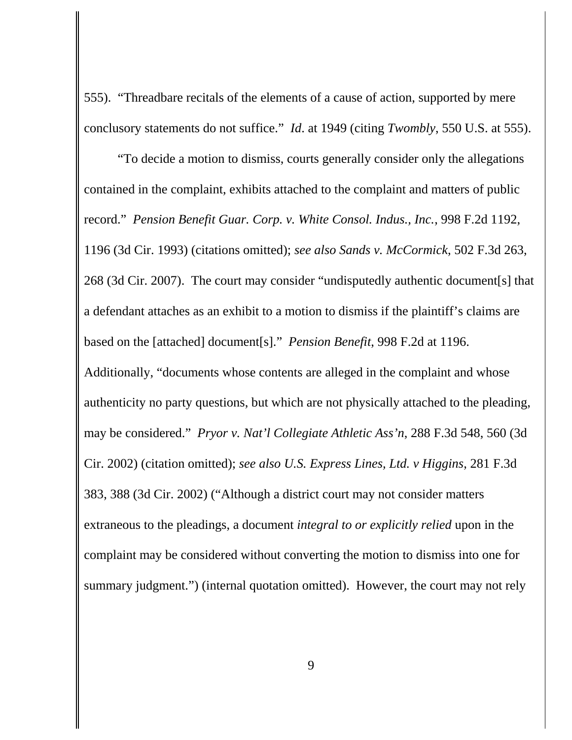555). "Threadbare recitals of the elements of a cause of action, supported by mere conclusory statements do not suffice." *Id*. at 1949 (citing *Twombly*, 550 U.S. at 555).

"To decide a motion to dismiss, courts generally consider only the allegations contained in the complaint, exhibits attached to the complaint and matters of public record." *Pension Benefit Guar. Corp. v. White Consol. Indus., Inc.*, 998 F.2d 1192, 1196 (3d Cir. 1993) (citations omitted); *see also Sands v. McCormick*, 502 F.3d 263, 268 (3d Cir. 2007). The court may consider "undisputedly authentic document[s] that a defendant attaches as an exhibit to a motion to dismiss if the plaintiff's claims are based on the [attached] document[s]." *Pension Benefit*, 998 F.2d at 1196. Additionally, "documents whose contents are alleged in the complaint and whose authenticity no party questions, but which are not physically attached to the pleading, may be considered." *Pryor v. Nat'l Collegiate Athletic Ass'n*, 288 F.3d 548, 560 (3d Cir. 2002) (citation omitted); *see also U.S. Express Lines, Ltd. v Higgins*, 281 F.3d 383, 388 (3d Cir. 2002) ("Although a district court may not consider matters extraneous to the pleadings, a document *integral to or explicitly relied* upon in the complaint may be considered without converting the motion to dismiss into one for summary judgment.") (internal quotation omitted). However, the court may not rely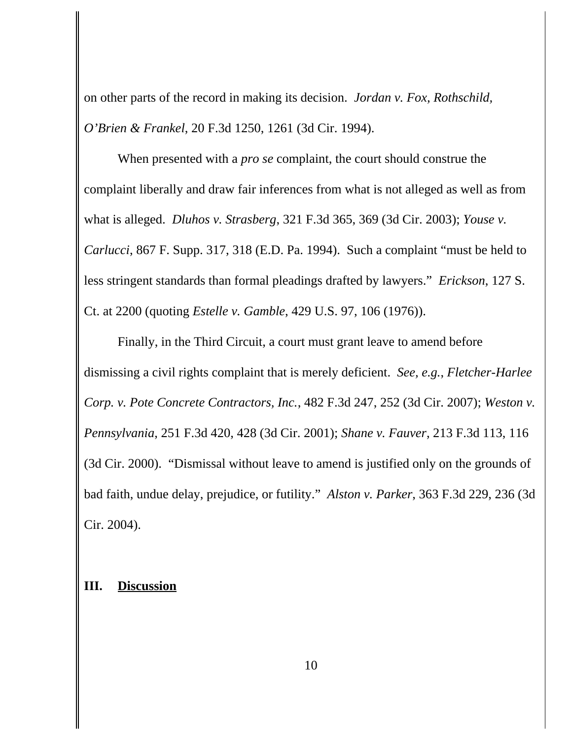on other parts of the record in making its decision. *Jordan v. Fox, Rothschild, O'Brien & Frankel*, 20 F.3d 1250, 1261 (3d Cir. 1994).

When presented with a *pro se* complaint, the court should construe the complaint liberally and draw fair inferences from what is not alleged as well as from what is alleged. *Dluhos v. Strasberg*, 321 F.3d 365, 369 (3d Cir. 2003); *Youse v. Carlucci*, 867 F. Supp. 317, 318 (E.D. Pa. 1994). Such a complaint "must be held to less stringent standards than formal pleadings drafted by lawyers." *Erickson*, 127 S. Ct. at 2200 (quoting *Estelle v. Gamble*, 429 U.S. 97, 106 (1976)).

Finally, in the Third Circuit, a court must grant leave to amend before dismissing a civil rights complaint that is merely deficient. *See, e.g.*, *Fletcher-Harlee Corp. v. Pote Concrete Contractors, Inc.*, 482 F.3d 247, 252 (3d Cir. 2007); *Weston v. Pennsylvania*, 251 F.3d 420, 428 (3d Cir. 2001); *Shane v. Fauver*, 213 F.3d 113, 116 (3d Cir. 2000). "Dismissal without leave to amend is justified only on the grounds of bad faith, undue delay, prejudice, or futility." *Alston v. Parker*, 363 F.3d 229, 236 (3d Cir. 2004).

# **III. Discussion**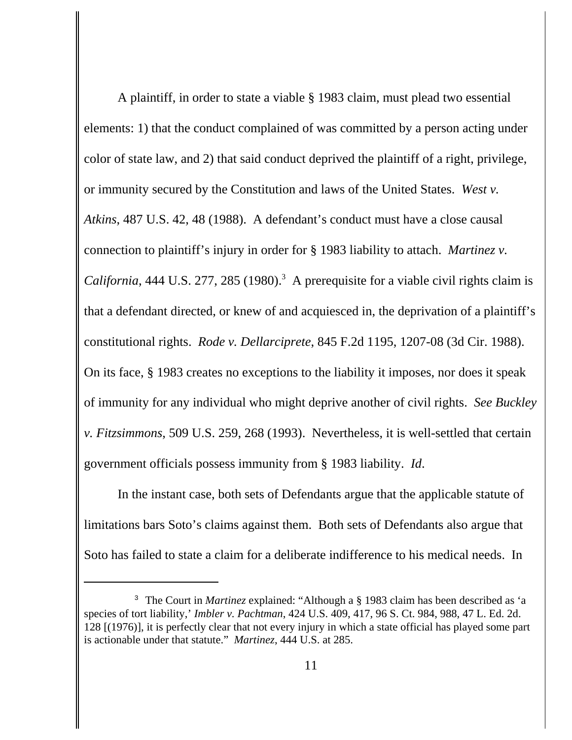A plaintiff, in order to state a viable § 1983 claim, must plead two essential elements: 1) that the conduct complained of was committed by a person acting under color of state law, and 2) that said conduct deprived the plaintiff of a right, privilege, or immunity secured by the Constitution and laws of the United States. *West v. Atkins*, 487 U.S. 42, 48 (1988). A defendant's conduct must have a close causal connection to plaintiff's injury in order for § 1983 liability to attach. *Martinez v.* California, 444 U.S. 277, 285 (1980).<sup>3</sup> A prerequisite for a viable civil rights claim is that a defendant directed, or knew of and acquiesced in, the deprivation of a plaintiff's constitutional rights. *Rode v. Dellarciprete*, 845 F.2d 1195, 1207-08 (3d Cir. 1988). On its face, § 1983 creates no exceptions to the liability it imposes, nor does it speak of immunity for any individual who might deprive another of civil rights. *See Buckley v. Fitzsimmons*, 509 U.S. 259, 268 (1993). Nevertheless, it is well-settled that certain government officials possess immunity from § 1983 liability. *Id*.

In the instant case, both sets of Defendants argue that the applicable statute of limitations bars Soto's claims against them. Both sets of Defendants also argue that Soto has failed to state a claim for a deliberate indifference to his medical needs. In

<sup>3</sup> The Court in *Martinez* explained: "Although a § 1983 claim has been described as 'a species of tort liability,' *Imbler v. Pachtman*, 424 U.S. 409, 417, 96 S. Ct. 984, 988, 47 L. Ed. 2d. 128 [(1976)], it is perfectly clear that not every injury in which a state official has played some part is actionable under that statute." *Martinez*, 444 U.S. at 285.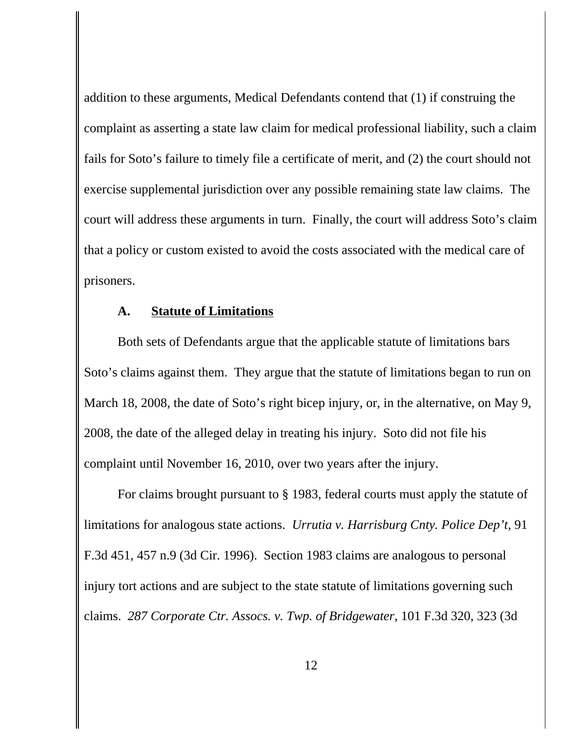addition to these arguments, Medical Defendants contend that (1) if construing the complaint as asserting a state law claim for medical professional liability, such a claim fails for Soto's failure to timely file a certificate of merit, and (2) the court should not exercise supplemental jurisdiction over any possible remaining state law claims. The court will address these arguments in turn. Finally, the court will address Soto's claim that a policy or custom existed to avoid the costs associated with the medical care of prisoners.

### **A. Statute of Limitations**

Both sets of Defendants argue that the applicable statute of limitations bars Soto's claims against them. They argue that the statute of limitations began to run on March 18, 2008, the date of Soto's right bicep injury, or, in the alternative, on May 9, 2008, the date of the alleged delay in treating his injury. Soto did not file his complaint until November 16, 2010, over two years after the injury.

For claims brought pursuant to § 1983, federal courts must apply the statute of limitations for analogous state actions. *Urrutia v. Harrisburg Cnty. Police Dep't*, 91 F.3d 451, 457 n.9 (3d Cir. 1996). Section 1983 claims are analogous to personal injury tort actions and are subject to the state statute of limitations governing such claims. *287 Corporate Ctr. Assocs. v. Twp. of Bridgewater*, 101 F.3d 320, 323 (3d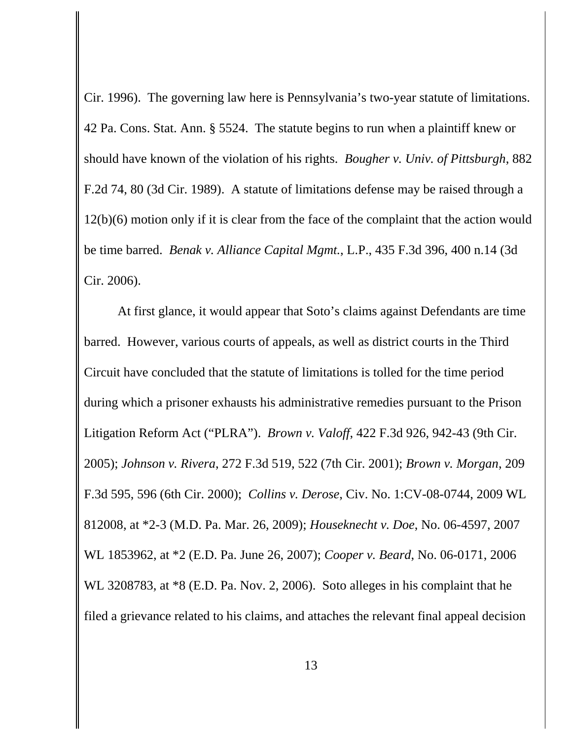Cir. 1996). The governing law here is Pennsylvania's two-year statute of limitations. 42 Pa. Cons. Stat. Ann. § 5524. The statute begins to run when a plaintiff knew or should have known of the violation of his rights. *Bougher v. Univ. of Pittsburgh*, 882 F.2d 74, 80 (3d Cir. 1989). A statute of limitations defense may be raised through a 12(b)(6) motion only if it is clear from the face of the complaint that the action would be time barred. *Benak v. Alliance Capital Mgmt.*, L.P., 435 F.3d 396, 400 n.14 (3d Cir. 2006).

At first glance, it would appear that Soto's claims against Defendants are time barred. However, various courts of appeals, as well as district courts in the Third Circuit have concluded that the statute of limitations is tolled for the time period during which a prisoner exhausts his administrative remedies pursuant to the Prison Litigation Reform Act ("PLRA"). *Brown v. Valoff*, 422 F.3d 926, 942-43 (9th Cir. 2005); *Johnson v. Rivera*, 272 F.3d 519, 522 (7th Cir. 2001); *Brown v. Morgan*, 209 F.3d 595, 596 (6th Cir. 2000); *Collins v. Derose*, Civ. No. 1:CV-08-0744, 2009 WL 812008, at \*2-3 (M.D. Pa. Mar. 26, 2009); *Houseknecht v. Doe*, No. 06-4597, 2007 WL 1853962, at \*2 (E.D. Pa. June 26, 2007); *Cooper v. Beard*, No. 06-0171, 2006 WL 3208783, at \*8 (E.D. Pa. Nov. 2, 2006). Soto alleges in his complaint that he filed a grievance related to his claims, and attaches the relevant final appeal decision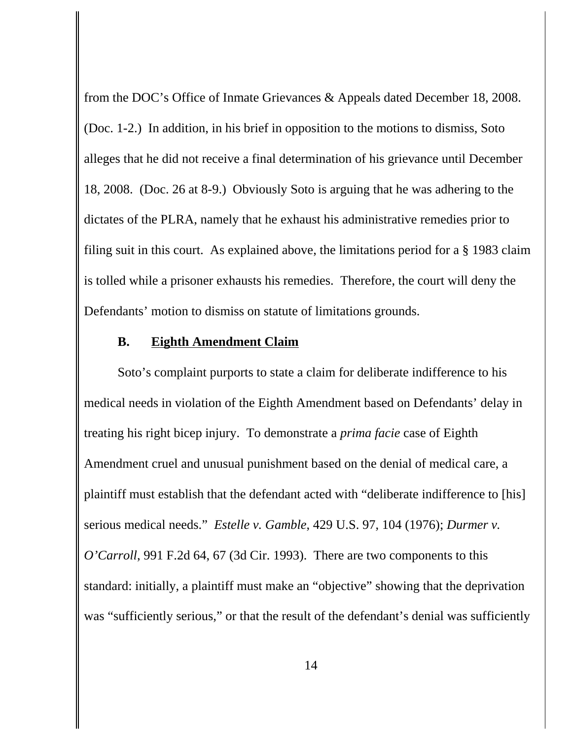from the DOC's Office of Inmate Grievances & Appeals dated December 18, 2008. (Doc. 1-2.) In addition, in his brief in opposition to the motions to dismiss, Soto alleges that he did not receive a final determination of his grievance until December 18, 2008. (Doc. 26 at 8-9.) Obviously Soto is arguing that he was adhering to the dictates of the PLRA, namely that he exhaust his administrative remedies prior to filing suit in this court. As explained above, the limitations period for a § 1983 claim is tolled while a prisoner exhausts his remedies. Therefore, the court will deny the Defendants' motion to dismiss on statute of limitations grounds.

### **B. Eighth Amendment Claim**

Soto's complaint purports to state a claim for deliberate indifference to his medical needs in violation of the Eighth Amendment based on Defendants' delay in treating his right bicep injury. To demonstrate a *prima facie* case of Eighth Amendment cruel and unusual punishment based on the denial of medical care, a plaintiff must establish that the defendant acted with "deliberate indifference to [his] serious medical needs." *Estelle v. Gamble*, 429 U.S. 97, 104 (1976); *Durmer v. O'Carroll*, 991 F.2d 64, 67 (3d Cir. 1993). There are two components to this standard: initially, a plaintiff must make an "objective" showing that the deprivation was "sufficiently serious," or that the result of the defendant's denial was sufficiently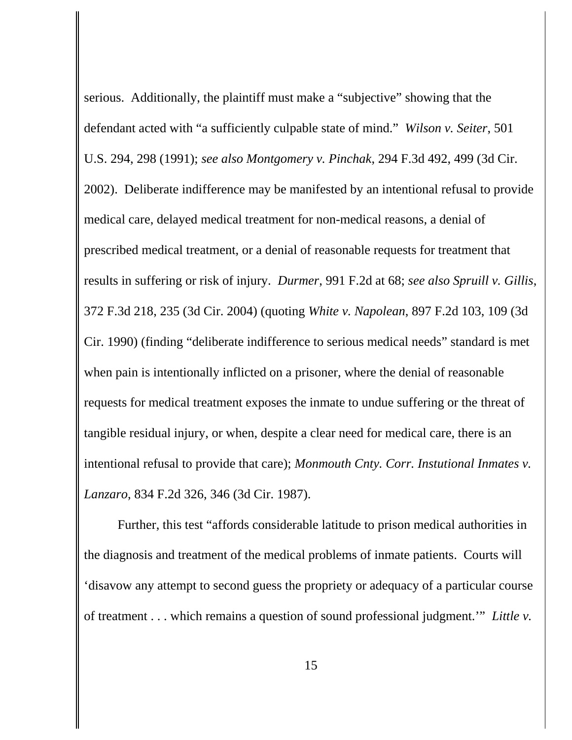serious. Additionally, the plaintiff must make a "subjective" showing that the defendant acted with "a sufficiently culpable state of mind." *Wilson v. Seiter*, 501 U.S. 294, 298 (1991); *see also Montgomery v. Pinchak*, 294 F.3d 492, 499 (3d Cir. 2002). Deliberate indifference may be manifested by an intentional refusal to provide medical care, delayed medical treatment for non-medical reasons, a denial of prescribed medical treatment, or a denial of reasonable requests for treatment that results in suffering or risk of injury. *Durmer*, 991 F.2d at 68; *see also Spruill v. Gillis*, 372 F.3d 218, 235 (3d Cir. 2004) (quoting *White v. Napolean*, 897 F.2d 103, 109 (3d Cir. 1990) (finding "deliberate indifference to serious medical needs" standard is met when pain is intentionally inflicted on a prisoner, where the denial of reasonable requests for medical treatment exposes the inmate to undue suffering or the threat of tangible residual injury, or when, despite a clear need for medical care, there is an intentional refusal to provide that care); *Monmouth Cnty. Corr. Instutional Inmates v. Lanzaro*, 834 F.2d 326, 346 (3d Cir. 1987).

Further, this test "affords considerable latitude to prison medical authorities in the diagnosis and treatment of the medical problems of inmate patients. Courts will 'disavow any attempt to second guess the propriety or adequacy of a particular course of treatment . . . which remains a question of sound professional judgment.'" *Little v.*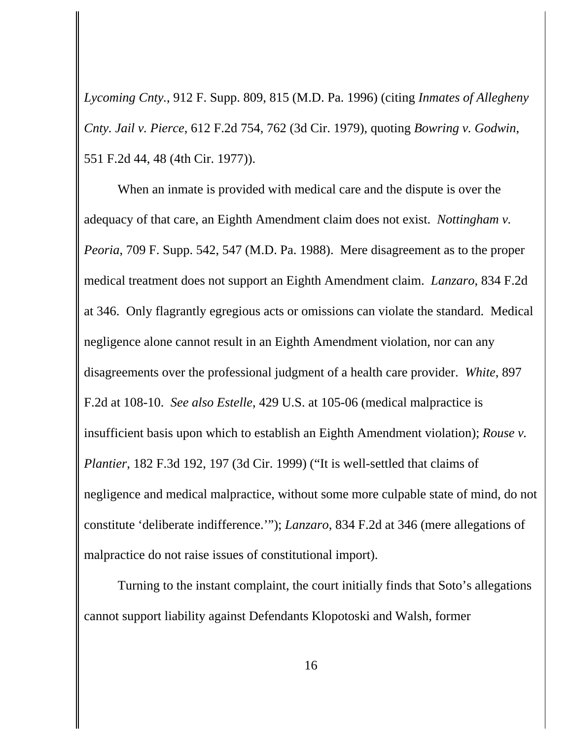*Lycoming Cnty.*, 912 F. Supp. 809, 815 (M.D. Pa. 1996) (citing *Inmates of Allegheny Cnty. Jail v. Pierce*, 612 F.2d 754, 762 (3d Cir. 1979), quoting *Bowring v. Godwin*, 551 F.2d 44, 48 (4th Cir. 1977)).

When an inmate is provided with medical care and the dispute is over the adequacy of that care, an Eighth Amendment claim does not exist. *Nottingham v. Peoria*, 709 F. Supp. 542, 547 (M.D. Pa. 1988). Mere disagreement as to the proper medical treatment does not support an Eighth Amendment claim. *Lanzaro*, 834 F.2d at 346. Only flagrantly egregious acts or omissions can violate the standard. Medical negligence alone cannot result in an Eighth Amendment violation, nor can any disagreements over the professional judgment of a health care provider. *White*, 897 F.2d at 108-10. *See also Estelle*, 429 U.S. at 105-06 (medical malpractice is insufficient basis upon which to establish an Eighth Amendment violation); *Rouse v. Plantier*, 182 F.3d 192, 197 (3d Cir. 1999) ("It is well-settled that claims of negligence and medical malpractice, without some more culpable state of mind, do not constitute 'deliberate indifference.'"); *Lanzaro*, 834 F.2d at 346 (mere allegations of malpractice do not raise issues of constitutional import).

Turning to the instant complaint, the court initially finds that Soto's allegations cannot support liability against Defendants Klopotoski and Walsh, former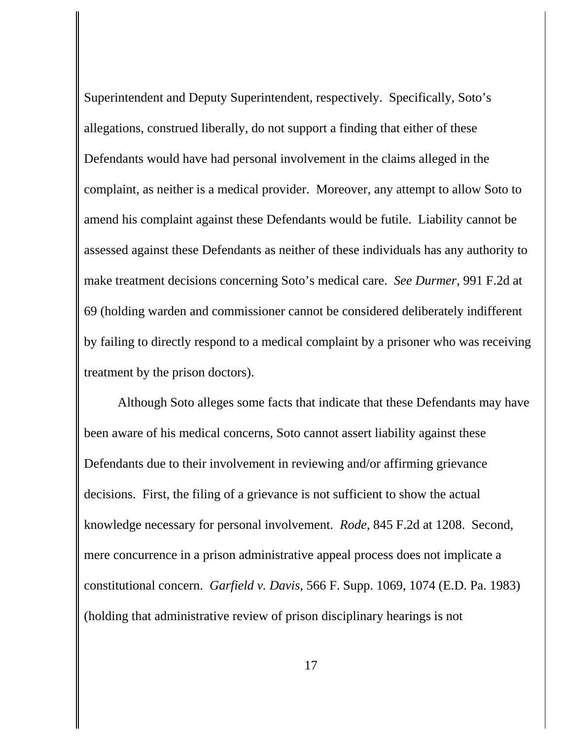Superintendent and Deputy Superintendent, respectively. Specifically, Soto's allegations, construed liberally, do not support a finding that either of these Defendants would have had personal involvement in the claims alleged in the complaint, as neither is a medical provider. Moreover, any attempt to allow Soto to amend his complaint against these Defendants would be futile. Liability cannot be assessed against these Defendants as neither of these individuals has any authority to make treatment decisions concerning Soto's medical care. *See Durmer*, 991 F.2d at 69 (holding warden and commissioner cannot be considered deliberately indifferent by failing to directly respond to a medical complaint by a prisoner who was receiving treatment by the prison doctors).

Although Soto alleges some facts that indicate that these Defendants may have been aware of his medical concerns, Soto cannot assert liability against these Defendants due to their involvement in reviewing and/or affirming grievance decisions. First, the filing of a grievance is not sufficient to show the actual knowledge necessary for personal involvement. *Rode*, 845 F.2d at 1208. Second, mere concurrence in a prison administrative appeal process does not implicate a constitutional concern. *Garfield v. Davis*, 566 F. Supp. 1069, 1074 (E.D. Pa. 1983) (holding that administrative review of prison disciplinary hearings is not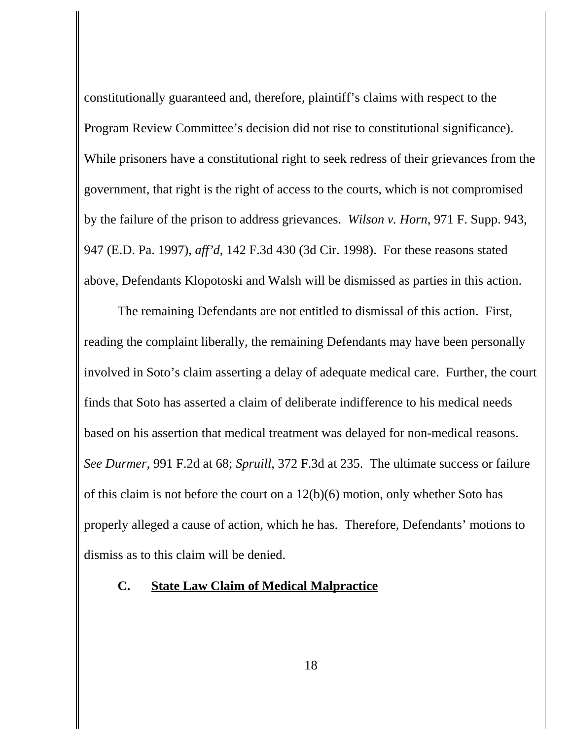constitutionally guaranteed and, therefore, plaintiff's claims with respect to the Program Review Committee's decision did not rise to constitutional significance). While prisoners have a constitutional right to seek redress of their grievances from the government, that right is the right of access to the courts, which is not compromised by the failure of the prison to address grievances. *Wilson v. Horn*, 971 F. Supp. 943, 947 (E.D. Pa. 1997), *aff'd*, 142 F.3d 430 (3d Cir. 1998). For these reasons stated above, Defendants Klopotoski and Walsh will be dismissed as parties in this action.

The remaining Defendants are not entitled to dismissal of this action. First, reading the complaint liberally, the remaining Defendants may have been personally involved in Soto's claim asserting a delay of adequate medical care. Further, the court finds that Soto has asserted a claim of deliberate indifference to his medical needs based on his assertion that medical treatment was delayed for non-medical reasons. *See Durmer*, 991 F.2d at 68; *Spruill*, 372 F.3d at 235. The ultimate success or failure of this claim is not before the court on a 12(b)(6) motion, only whether Soto has properly alleged a cause of action, which he has. Therefore, Defendants' motions to dismiss as to this claim will be denied.

**C. State Law Claim of Medical Malpractice**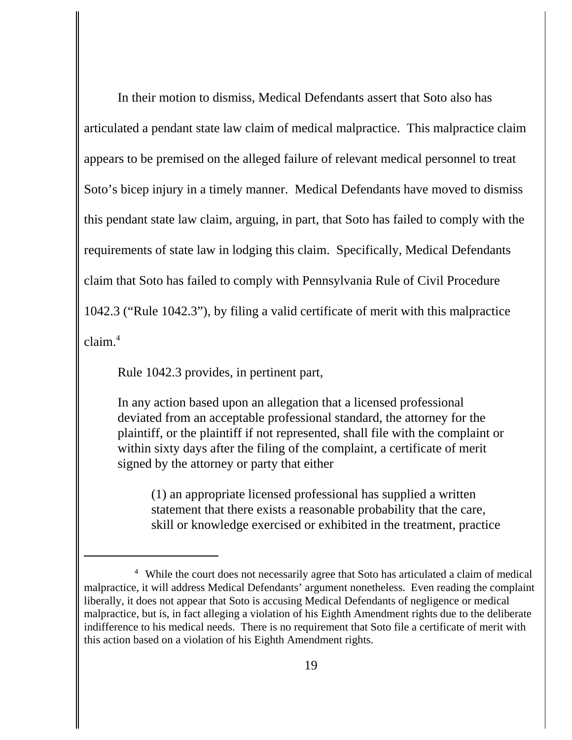In their motion to dismiss, Medical Defendants assert that Soto also has articulated a pendant state law claim of medical malpractice. This malpractice claim appears to be premised on the alleged failure of relevant medical personnel to treat Soto's bicep injury in a timely manner. Medical Defendants have moved to dismiss this pendant state law claim, arguing, in part, that Soto has failed to comply with the requirements of state law in lodging this claim. Specifically, Medical Defendants claim that Soto has failed to comply with Pennsylvania Rule of Civil Procedure 1042.3 ("Rule 1042.3"), by filing a valid certificate of merit with this malpractice claim.4

Rule 1042.3 provides, in pertinent part,

In any action based upon an allegation that a licensed professional deviated from an acceptable professional standard, the attorney for the plaintiff, or the plaintiff if not represented, shall file with the complaint or within sixty days after the filing of the complaint, a certificate of merit signed by the attorney or party that either

(1) an appropriate licensed professional has supplied a written statement that there exists a reasonable probability that the care, skill or knowledge exercised or exhibited in the treatment, practice

<sup>4</sup> While the court does not necessarily agree that Soto has articulated a claim of medical malpractice, it will address Medical Defendants' argument nonetheless. Even reading the complaint liberally, it does not appear that Soto is accusing Medical Defendants of negligence or medical malpractice, but is, in fact alleging a violation of his Eighth Amendment rights due to the deliberate indifference to his medical needs. There is no requirement that Soto file a certificate of merit with this action based on a violation of his Eighth Amendment rights.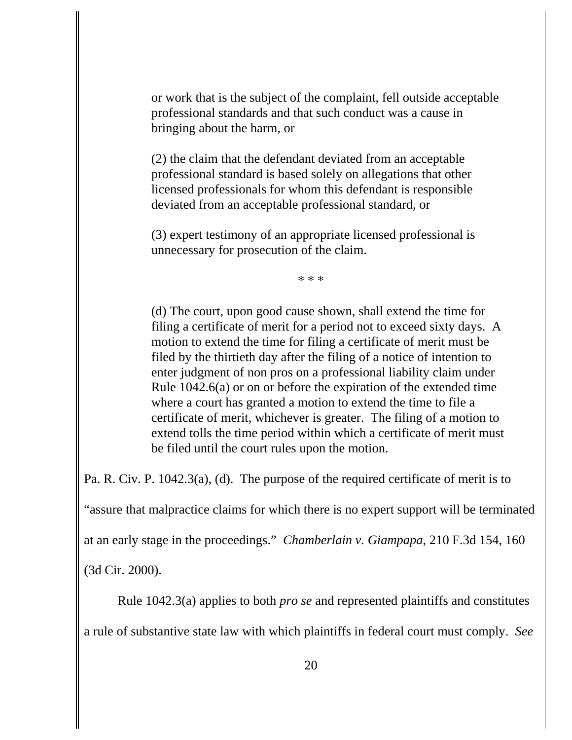or work that is the subject of the complaint, fell outside acceptable professional standards and that such conduct was a cause in bringing about the harm, or

(2) the claim that the defendant deviated from an acceptable professional standard is based solely on allegations that other licensed professionals for whom this defendant is responsible deviated from an acceptable professional standard, or

(3) expert testimony of an appropriate licensed professional is unnecessary for prosecution of the claim.

\* \* \*

(d) The court, upon good cause shown, shall extend the time for filing a certificate of merit for a period not to exceed sixty days. A motion to extend the time for filing a certificate of merit must be filed by the thirtieth day after the filing of a notice of intention to enter judgment of non pros on a professional liability claim under Rule 1042.6(a) or on or before the expiration of the extended time where a court has granted a motion to extend the time to file a certificate of merit, whichever is greater. The filing of a motion to extend tolls the time period within which a certificate of merit must be filed until the court rules upon the motion.

Pa. R. Civ. P. 1042.3(a), (d). The purpose of the required certificate of merit is to

"assure that malpractice claims for which there is no expert support will be terminated

at an early stage in the proceedings." *Chamberlain v. Giampapa*, 210 F.3d 154, 160

(3d Cir. 2000).

Rule 1042.3(a) applies to both *pro se* and represented plaintiffs and constitutes a rule of substantive state law with which plaintiffs in federal court must comply. *See*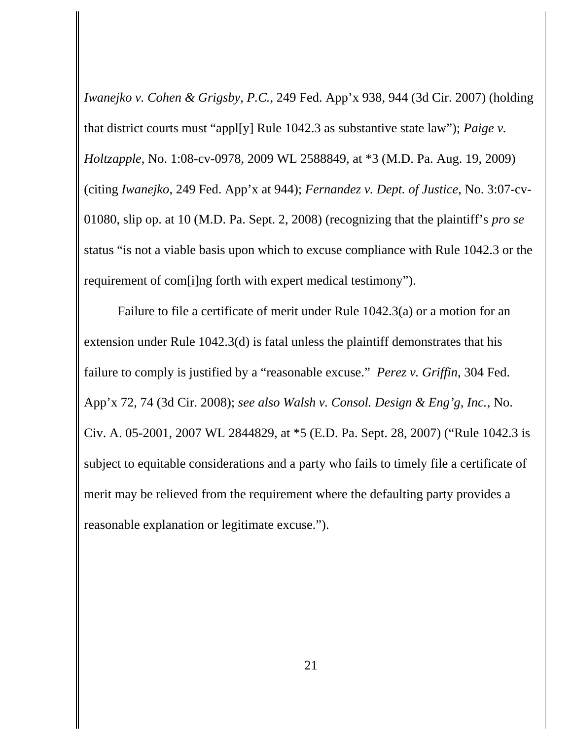*Iwanejko v. Cohen & Grigsby, P.C.*, 249 Fed. App'x 938, 944 (3d Cir. 2007) (holding that district courts must "appl[y] Rule 1042.3 as substantive state law"); *Paige v. Holtzapple*, No. 1:08-cv-0978, 2009 WL 2588849, at \*3 (M.D. Pa. Aug. 19, 2009) (citing *Iwanejko*, 249 Fed. App'x at 944); *Fernandez v. Dept. of Justice*, No. 3:07-cv-01080, slip op. at 10 (M.D. Pa. Sept. 2, 2008) (recognizing that the plaintiff's *pro se* status "is not a viable basis upon which to excuse compliance with Rule 1042.3 or the requirement of com[i]ng forth with expert medical testimony").

Failure to file a certificate of merit under Rule 1042.3(a) or a motion for an extension under Rule 1042.3(d) is fatal unless the plaintiff demonstrates that his failure to comply is justified by a "reasonable excuse." *Perez v. Griffin*, 304 Fed. App'x 72, 74 (3d Cir. 2008); *see also Walsh v. Consol. Design & Eng'g, Inc.*, No. Civ. A. 05-2001, 2007 WL 2844829, at \*5 (E.D. Pa. Sept. 28, 2007) ("Rule 1042.3 is subject to equitable considerations and a party who fails to timely file a certificate of merit may be relieved from the requirement where the defaulting party provides a reasonable explanation or legitimate excuse.").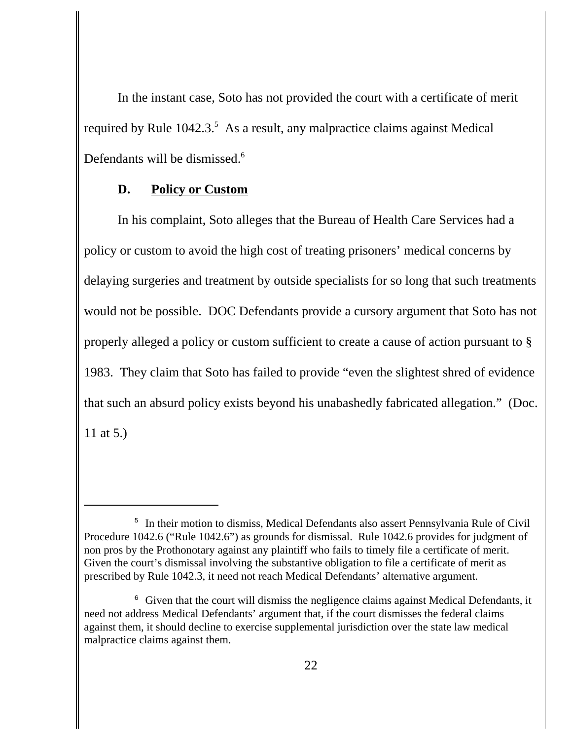In the instant case, Soto has not provided the court with a certificate of merit required by Rule  $1042.3$ <sup>5</sup> As a result, any malpractice claims against Medical Defendants will be dismissed.<sup>6</sup>

### **D. Policy or Custom**

In his complaint, Soto alleges that the Bureau of Health Care Services had a policy or custom to avoid the high cost of treating prisoners' medical concerns by delaying surgeries and treatment by outside specialists for so long that such treatments would not be possible. DOC Defendants provide a cursory argument that Soto has not properly alleged a policy or custom sufficient to create a cause of action pursuant to § 1983. They claim that Soto has failed to provide "even the slightest shred of evidence that such an absurd policy exists beyond his unabashedly fabricated allegation." (Doc. 11 at 5.)

<sup>&</sup>lt;sup>5</sup> In their motion to dismiss, Medical Defendants also assert Pennsylvania Rule of Civil Procedure 1042.6 ("Rule 1042.6") as grounds for dismissal. Rule 1042.6 provides for judgment of non pros by the Prothonotary against any plaintiff who fails to timely file a certificate of merit. Given the court's dismissal involving the substantive obligation to file a certificate of merit as prescribed by Rule 1042.3, it need not reach Medical Defendants' alternative argument.

<sup>&</sup>lt;sup>6</sup> Given that the court will dismiss the negligence claims against Medical Defendants, it need not address Medical Defendants' argument that, if the court dismisses the federal claims against them, it should decline to exercise supplemental jurisdiction over the state law medical malpractice claims against them.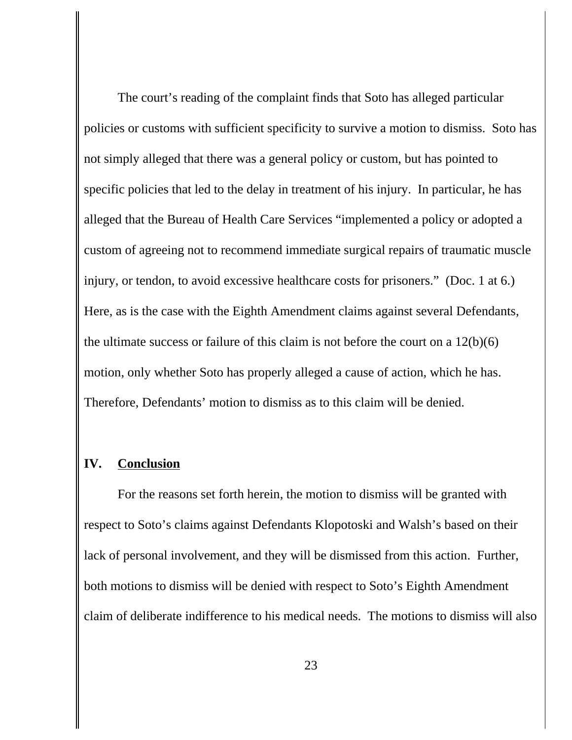The court's reading of the complaint finds that Soto has alleged particular policies or customs with sufficient specificity to survive a motion to dismiss. Soto has not simply alleged that there was a general policy or custom, but has pointed to specific policies that led to the delay in treatment of his injury. In particular, he has alleged that the Bureau of Health Care Services "implemented a policy or adopted a custom of agreeing not to recommend immediate surgical repairs of traumatic muscle injury, or tendon, to avoid excessive healthcare costs for prisoners." (Doc. 1 at 6.) Here, as is the case with the Eighth Amendment claims against several Defendants, the ultimate success or failure of this claim is not before the court on a  $12(b)(6)$ motion, only whether Soto has properly alleged a cause of action, which he has. Therefore, Defendants' motion to dismiss as to this claim will be denied.

# **IV. Conclusion**

For the reasons set forth herein, the motion to dismiss will be granted with respect to Soto's claims against Defendants Klopotoski and Walsh's based on their lack of personal involvement, and they will be dismissed from this action. Further, both motions to dismiss will be denied with respect to Soto's Eighth Amendment claim of deliberate indifference to his medical needs. The motions to dismiss will also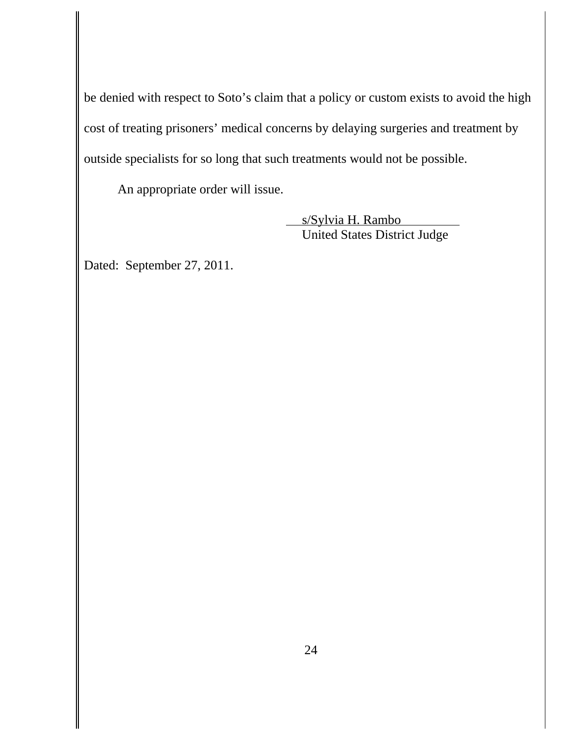be denied with respect to Soto's claim that a policy or custom exists to avoid the high cost of treating prisoners' medical concerns by delaying surgeries and treatment by outside specialists for so long that such treatments would not be possible.

An appropriate order will issue.

 s/Sylvia H. Rambo United States District Judge

Dated: September 27, 2011.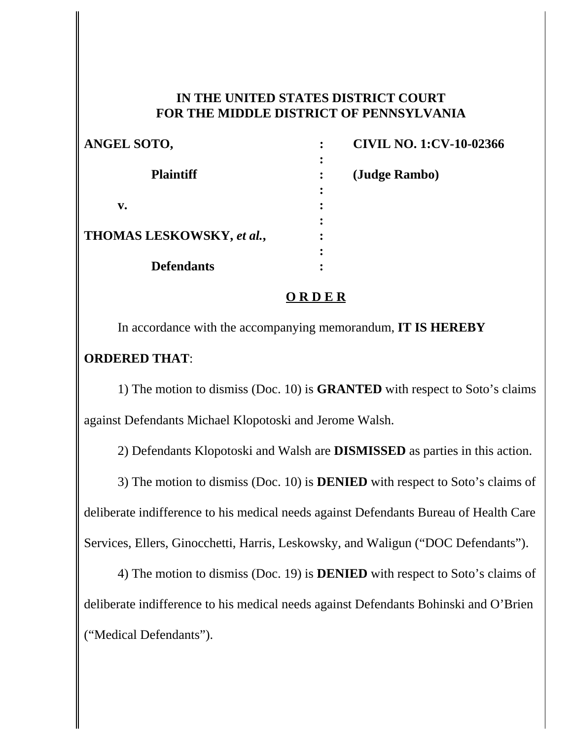## **IN THE UNITED STATES DISTRICT COURT FOR THE MIDDLE DISTRICT OF PENNSYLVANIA**

| ANGEL SOTO,               | <b>CIVIL NO. 1:CV-10-02366</b> |
|---------------------------|--------------------------------|
|                           |                                |
| <b>Plaintiff</b>          | (Judge Rambo)                  |
|                           |                                |
| v.                        |                                |
|                           |                                |
| THOMAS LESKOWSKY, et al., |                                |
|                           |                                |
| <b>Defendants</b>         |                                |

## **O R D E R**

In accordance with the accompanying memorandum, **IT IS HEREBY ORDERED THAT**:

1) The motion to dismiss (Doc. 10) is **GRANTED** with respect to Soto's claims against Defendants Michael Klopotoski and Jerome Walsh.

2) Defendants Klopotoski and Walsh are **DISMISSED** as parties in this action.

3) The motion to dismiss (Doc. 10) is **DENIED** with respect to Soto's claims of deliberate indifference to his medical needs against Defendants Bureau of Health Care Services, Ellers, Ginocchetti, Harris, Leskowsky, and Waligun ("DOC Defendants").

4) The motion to dismiss (Doc. 19) is **DENIED** with respect to Soto's claims of deliberate indifference to his medical needs against Defendants Bohinski and O'Brien ("Medical Defendants").